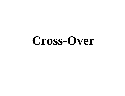# **Cross-Over**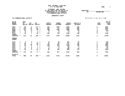# STATEMENT AND RETURN OF THE VOTES FOR THE OFFICE OF TABULATED \_\_\_\_\_\_\_\_\_\_\_\_\_\_\_\_\_\_\_\_\_\_\_\_\_\_\_\_ REPRESENTATIVE IN CONGRESS BY: SUPERVISOR 7TH CONGRESSIONAL DISTRICT

#### DEMOCRATIC PARTY

## 7TH CONGRESSIONAL DISTRICT

**SUPERVI SOR** 

### RECAPITULATION

| AD #S<br><b>BRONX</b><br><b>COUNTY</b>                                                                              |                                                                                                            | ABS/<br><b>MIL</b><br><b>BALLOT</b>         | <b>FED</b><br><b>BALLOT</b>    | <b>AFF</b><br><b>BALLOT</b>            |                                                                                 | <b>CURTIS</b><br><b>BROOKS</b>                   | <b>DENNIS</b><br><b>COLEMAN</b>                 | <b>JOSEPH</b><br><b>CROWLEY</b>                       | ANI ELLO V<br><b>GRI MALDI</b>                        |                                                   | <b>OFFICE</b><br>TOTAL<br><b>SCAT</b><br><b>VOTE</b><br><b>VOTE</b> |
|---------------------------------------------------------------------------------------------------------------------|------------------------------------------------------------------------------------------------------------|---------------------------------------------|--------------------------------|----------------------------------------|---------------------------------------------------------------------------------|--------------------------------------------------|-------------------------------------------------|-------------------------------------------------------|-------------------------------------------------------|---------------------------------------------------|---------------------------------------------------------------------|
| <b>76TH</b><br>80TH<br><b>82ND</b><br><b>83RD</b><br><b>84TH</b><br><b>85TH</b><br><b>COUNTY</b><br><b>SUBTOTAL</b> | $\mathbf{x}$<br>$\mathcal{H}$<br>$\star$<br>$\mathbf{r}$<br>$\mathcal{H}$<br>$\star$<br>$\ast$             | 89<br>144<br>210<br>12<br>0<br>58<br>513    | 3<br>10<br>11<br>O<br>0<br>25  | 117<br>62<br>58<br>5<br>0<br>50<br>292 | $\pmb{\pi}$<br>$\mathbf{r}$<br>$\star$<br>$\star$<br>$\star$                    | 535<br>293<br>468<br>50<br>390<br>1737           | 1139<br>731<br>1021<br>79<br>O<br>769<br>3739   | 2160<br>2243<br>4998<br>110<br>0<br>1085<br>10596     | 358<br>546<br>589<br>25<br>$\mathbf 0$<br>198<br>1716 | O<br>$\mathbf 0$<br>$\mathbf 0$<br>$\overline{2}$ | 4192<br>3814<br>7077<br>264<br>2442<br>17790                        |
| <b>QUEENS</b><br><b>COUNTY</b>                                                                                      |                                                                                                            |                                             |                                |                                        |                                                                                 |                                                  |                                                 |                                                       |                                                       |                                                   |                                                                     |
| <b>27TH</b><br>30TH<br><b>34TH</b><br>35TH<br><b>36TH</b><br>37TH<br>39TH<br><b>COUNTY</b><br><b>SUBTOTAL</b>       | $\mathbf{x}$<br>$\star$<br>$\mathcal{H}$<br>$\mathbf{r}$<br>$\mathcal{H}$<br>$\star$<br>$\star$<br>$\star$ | 9<br>32<br>59<br>47<br>0<br>11<br>18<br>176 | 4<br>24<br>O<br>$\Omega$<br>40 | 10<br>$3\overline{4}$<br>22<br>77      | $\star$<br>$\star$<br>$\star$<br>$\star$<br>$\mathcal{R}$<br>$\star$<br>$\star$ | $\frac{13}{25}$<br>141<br>108<br>15<br>62<br>365 | 40<br>49<br>421<br>219<br>4<br>37<br>207<br>977 | 161<br>797<br>2174<br>850<br>16<br>200<br>944<br>5142 | 24<br>62<br>246<br>84<br>20<br>127<br>564             | 0<br>$\mathbf 0$<br>4                             | 240<br>934<br>2982<br>1261<br>22<br>273<br>1340<br>7052             |
| <b>DI STRICT</b><br><b>TOTAL</b>                                                                                    | $\star$                                                                                                    | 689                                         | 65                             | 369                                    | $\star$                                                                         | 2102                                             | 4716                                            | 15738                                                 | 2280                                                  | 6                                                 | 24842                                                               |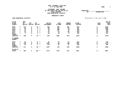# STATEMENT AND RETURN OF THE VOTES FOR THE OFFICE OF TABULATED \_\_\_\_\_\_\_\_\_\_\_\_\_\_\_\_\_\_\_\_\_\_\_\_\_\_\_\_ STATE SENATOR BY: SUPERVISOR 23RD SENATORIAL DISTRICT

#### DEMOCRATIC PARTY

#### 23RD SENATORI AL DI STRI CT 23RD SENATORIAL DISTRICT R E C A P I T U L A T I O N

**SUPERVI SOR** 

| AD #S<br><b>KINGS</b><br><b>COUNTY</b>                                                                |                                                                                                   | ABS/<br>MI L<br><b>BALLOT</b>           | <b>FED</b><br><b>BALLOT</b>               | <b>AFF</b><br><b>BALLOT</b> |                                                                                        | <b>KELVIN</b><br><b>ALEXANDER</b>        | <b>COLE</b><br><b>ETTMAN</b>                 | <b>RODNEY</b><br><b>KNI GHT</b>         | DI ANE J<br><b>SAVI NO</b>                     |                                                                                   | <b>SCAT</b><br><b>VOTE</b> | OFFICE<br>TOTAL<br><b>VOTE</b>                   |
|-------------------------------------------------------------------------------------------------------|---------------------------------------------------------------------------------------------------|-----------------------------------------|-------------------------------------------|-----------------------------|----------------------------------------------------------------------------------------|------------------------------------------|----------------------------------------------|-----------------------------------------|------------------------------------------------|-----------------------------------------------------------------------------------|----------------------------|--------------------------------------------------|
| <b>46TH</b><br><b>47TH</b><br>48TH<br>49TH<br><b>51ST</b><br>60TH<br><b>COUNTY</b><br><b>SUBTOTAL</b> | $\pmb{\times}$<br>$\star$<br>$\mathcal{H}$<br>$\mathbf{x}$<br>$\mathcal{H}$<br>$\star$<br>$\star$ | 110<br>84<br>10<br>15<br>24<br>3<br>246 | 0<br>0<br>0<br>0<br>0<br>$\mathbf 0$<br>0 | 14<br>3<br>3<br>Ω<br>22     | $\pmb{\times}$<br>$\star$<br>$\mathcal{R}$<br>$\star$<br>$\star$<br>$\star$<br>$\star$ | 359<br>66<br>52<br>23<br>67<br>20<br>587 | 786<br>295<br>284<br>171<br>70<br>20<br>1626 | 441<br>48<br>19<br>10<br>86<br>9<br>613 | 630<br>651<br>305<br>225<br>420<br>102<br>2333 | 0<br>$\mathbf 0$<br>$\mathbf 0$<br>$\mathbf 0$<br>O<br>$\mathbf 0$<br>$\mathbf 0$ |                            | 2216<br>1060<br>660<br>429<br>643<br>151<br>5159 |
| <b>RI CHMOND</b><br><b>COUNTY</b>                                                                     |                                                                                                   |                                         |                                           |                             |                                                                                        |                                          |                                              |                                         |                                                |                                                                                   |                            |                                                  |
| 60TH<br>61ST<br>63RD<br><b>COUNTY</b><br><b>SUBTOTAL</b>                                              | $\mathbf{x}$<br>$\mathcal{H}$<br>$\star$<br>$\star$                                               | 39<br>158<br>20<br>217                  | 0<br>0<br>0<br>0                          | o<br>74<br>4<br>84          | $\star$<br>$\star$<br>$\star$<br>$\star$                                               | 42<br>1367<br>178<br>1587                | 27<br>86<br>16<br>129                        | 24<br>158<br>22<br>204                  | 443<br>1562<br>283<br>2288                     | 0<br>0<br>$\mathbf 0$<br>0                                                        |                            | 536<br>3173<br>499<br>4208                       |
| <b>DI STRICT</b><br><b>TOTAL</b>                                                                      | $\mathcal{H}$                                                                                     | 463                                     | 0                                         | 106                         | $\star$                                                                                | 2174                                     | 1755                                         | 817                                     | 4621                                           | 0                                                                                 |                            | 9367                                             |